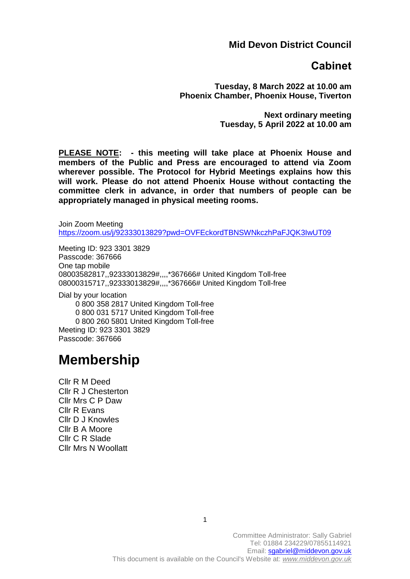#### **Mid Devon District Council**

### **Cabinet**

**Tuesday, 8 March 2022 at 10.00 am Phoenix Chamber, Phoenix House, Tiverton**

> **Next ordinary meeting Tuesday, 5 April 2022 at 10.00 am**

**PLEASE NOTE: - this meeting will take place at Phoenix House and members of the Public and Press are encouraged to attend via Zoom wherever possible. The Protocol for Hybrid Meetings explains how this will work. Please do not attend Phoenix House without contacting the committee clerk in advance, in order that numbers of people can be appropriately managed in physical meeting rooms.** 

Join Zoom Meeting <https://zoom.us/j/92333013829?pwd=OVFEckordTBNSWNkczhPaFJQK3IwUT09>

Meeting ID: 923 3301 3829 Passcode: 367666 One tap mobile 08003582817,,92333013829#,,,,\*367666# United Kingdom Toll-free 08000315717,,92333013829#,,,,\*367666# United Kingdom Toll-free

Dial by your location 0 800 358 2817 United Kingdom Toll-free 0 800 031 5717 United Kingdom Toll-free 0 800 260 5801 United Kingdom Toll-free Meeting ID: 923 3301 3829 Passcode: 367666

# **Membership**

Cllr R M Deed Cllr R J Chesterton Cllr Mrs C P Daw Cllr R Evans Cllr D J Knowles Cllr B A Moore Cllr C R Slade Cllr Mrs N Woollatt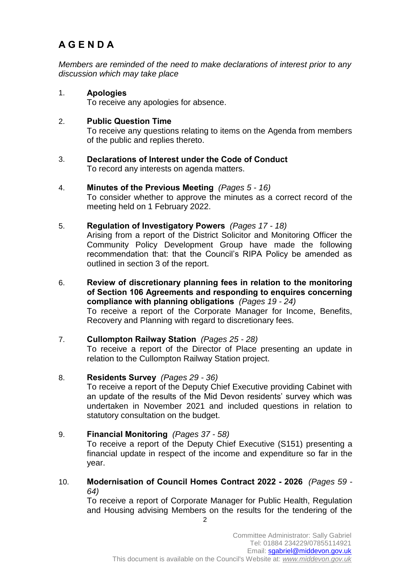## **A G E N D A**

*Members are reminded of the need to make declarations of interest prior to any discussion which may take place*

1. **Apologies**  To receive any apologies for absence.

#### 2. **Public Question Time**

To receive any questions relating to items on the Agenda from members of the public and replies thereto.

- 3. **Declarations of Interest under the Code of Conduct**  To record any interests on agenda matters.
- 4. **Minutes of the Previous Meeting** *(Pages 5 - 16)*

To consider whether to approve the minutes as a correct record of the meeting held on 1 February 2022.

5. **Regulation of Investigatory Powers** *(Pages 17 - 18)*

Arising from a report of the District Solicitor and Monitoring Officer the Community Policy Development Group have made the following recommendation that: that the Council's RIPA Policy be amended as outlined in section 3 of the report.

6. **Review of discretionary planning fees in relation to the monitoring of Section 106 Agreements and responding to enquires concerning compliance with planning obligations** *(Pages 19 - 24)* To receive a report of the Corporate Manager for Income, Benefits, Recovery and Planning with regard to discretionary fees.

#### 7. **Cullompton Railway Station** *(Pages 25 - 28)*

To receive a report of the Director of Place presenting an update in relation to the Cullompton Railway Station project.

#### 8. **Residents Survey** *(Pages 29 - 36)*

To receive a report of the Deputy Chief Executive providing Cabinet with an update of the results of the Mid Devon residents' survey which was undertaken in November 2021 and included questions in relation to statutory consultation on the budget.

#### 9. **Financial Monitoring** *(Pages 37 - 58)*

To receive a report of the Deputy Chief Executive (S151) presenting a financial update in respect of the income and expenditure so far in the year.

10. **Modernisation of Council Homes Contract 2022 - 2026** *(Pages 59 - 64)*

To receive a report of Corporate Manager for Public Health, Regulation and Housing advising Members on the results for the tendering of the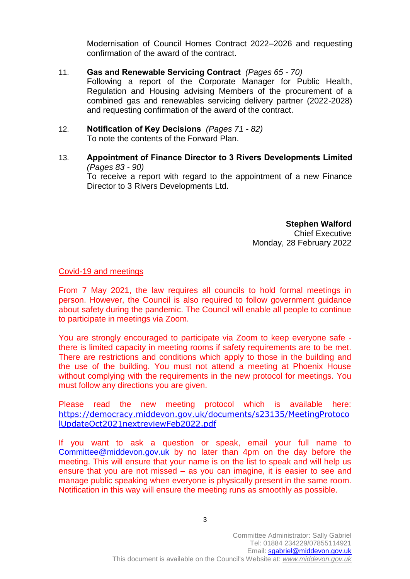Modernisation of Council Homes Contract 2022–2026 and requesting confirmation of the award of the contract.

- 11. **Gas and Renewable Servicing Contract** *(Pages 65 - 70)* Following a report of the Corporate Manager for Public Health, Regulation and Housing advising Members of the procurement of a combined gas and renewables servicing delivery partner (2022-2028) and requesting confirmation of the award of the contract.
- 12. **Notification of Key Decisions** *(Pages 71 - 82)* To note the contents of the Forward Plan.
- 13. **Appointment of Finance Director to 3 Rivers Developments Limited**  *(Pages 83 - 90)* To receive a report with regard to the appointment of a new Finance Director to 3 Rivers Developments Ltd.

**Stephen Walford** Chief Executive Monday, 28 February 2022

Covid-19 and meetings

From 7 May 2021, the law requires all councils to hold formal meetings in person. However, the Council is also required to follow government guidance about safety during the pandemic. The Council will enable all people to continue to participate in meetings via Zoom.

You are strongly encouraged to participate via Zoom to keep everyone safe there is limited capacity in meeting rooms if safety requirements are to be met. There are restrictions and conditions which apply to those in the building and the use of the building. You must not attend a meeting at Phoenix House without complying with the requirements in the new protocol for meetings. You must follow any directions you are given.

Please read the new meeting protocol which is available here: [https://democracy.middevon.gov.uk/documents/s23135/MeetingProtoco](https://democracy.middevon.gov.uk/documents/s23135/MeetingProtocolUpdateOct2021nextreviewFeb2022.pdf) [lUpdateOct2021nextreviewFeb2022.pdf](https://democracy.middevon.gov.uk/documents/s23135/MeetingProtocolUpdateOct2021nextreviewFeb2022.pdf)

If you want to ask a question or speak, email your full name to [Committee@middevon.gov.uk](mailto:Committee@middevon.gov.uk) by no later than 4pm on the day before the meeting. This will ensure that your name is on the list to speak and will help us ensure that you are not missed – as you can imagine, it is easier to see and manage public speaking when everyone is physically present in the same room. Notification in this way will ensure the meeting runs as smoothly as possible.